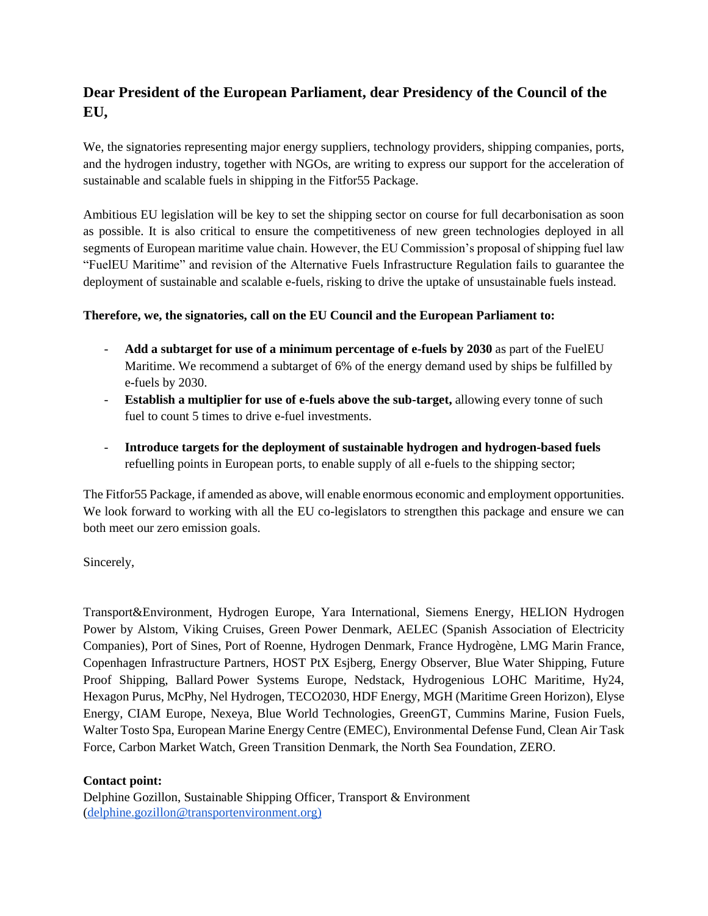## **Dear President of the European Parliament, dear Presidency of the Council of the EU,**

We, the signatories representing major energy suppliers, technology providers, shipping companies, ports, and the hydrogen industry, together with NGOs, are writing to express our support for the acceleration of sustainable and scalable fuels in shipping in the Fitfor55 Package.

Ambitious EU legislation will be key to set the shipping sector on course for full decarbonisation as soon as possible. It is also critical to ensure the competitiveness of new green technologies deployed in all segments of European maritime value chain. However, the EU Commission's proposal of shipping fuel law "FuelEU Maritime" and revision of the Alternative Fuels Infrastructure Regulation fails to guarantee the deployment of sustainable and scalable e-fuels, risking to drive the uptake of unsustainable fuels instead.

## **Therefore, we, the signatories, call on the EU Council and the European Parliament to:**

- **Add a subtarget for use of a minimum percentage of e-fuels by 2030** as part of the FuelEU Maritime. We recommend a subtarget of 6% of the energy demand used by ships be fulfilled by e-fuels by 2030.
- **Establish a multiplier for use of e-fuels above the sub-target,** allowing every tonne of such fuel to count 5 times to drive e-fuel investments.
- **Introduce targets for the deployment of sustainable hydrogen and hydrogen-based fuels** refuelling points in European ports, to enable supply of all e-fuels to the shipping sector;

The Fitfor55 Package, if amended as above, will enable enormous economic and employment opportunities. We look forward to working with all the EU co-legislators to strengthen this package and ensure we can both meet our zero emission goals.

Sincerely,

Transport&Environment, Hydrogen Europe, Yara International, Siemens Energy, HELION Hydrogen Power by Alstom, Viking Cruises, Green Power Denmark, AELEC (Spanish Association of Electricity Companies), Port of Sines, Port of Roenne, Hydrogen Denmark, France Hydrogène, LMG Marin France, Copenhagen Infrastructure Partners, HOST PtX Esjberg, Energy Observer, Blue Water Shipping, Future Proof Shipping, Ballard Power Systems Europe, Nedstack, Hydrogenious LOHC Maritime, Hy24, Hexagon Purus, McPhy, Nel Hydrogen, TECO2030, HDF Energy, MGH (Maritime Green Horizon), Elyse Energy, CIAM Europe, Nexeya, Blue World Technologies, GreenGT, Cummins Marine, Fusion Fuels, Walter Tosto Spa, European Marine Energy Centre (EMEC), Environmental Defense Fund, Clean Air Task Force, Carbon Market Watch, Green Transition Denmark, the North Sea Foundation, ZERO.

## **Contact point:**

Delphine Gozillon, Sustainable Shipping Officer, Transport & Environment [\(delphine.gozillon@transportenvironment.org\)](mailto:delphine.gozillon@transportenvironment.org)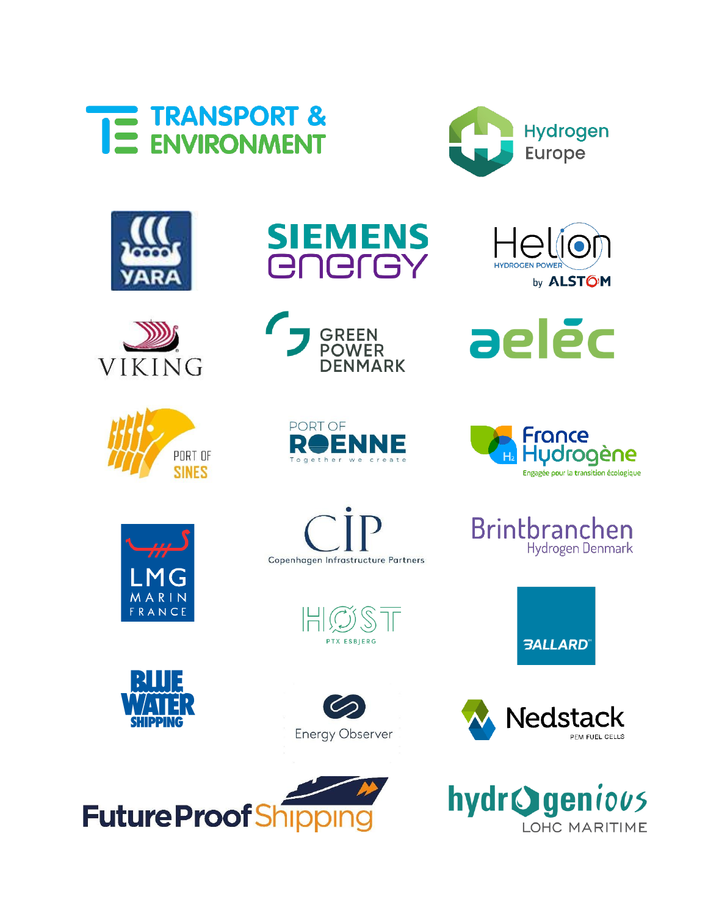

















aeléc















Hydrogen Denmark

Brintbranchen

**3ALLARD**